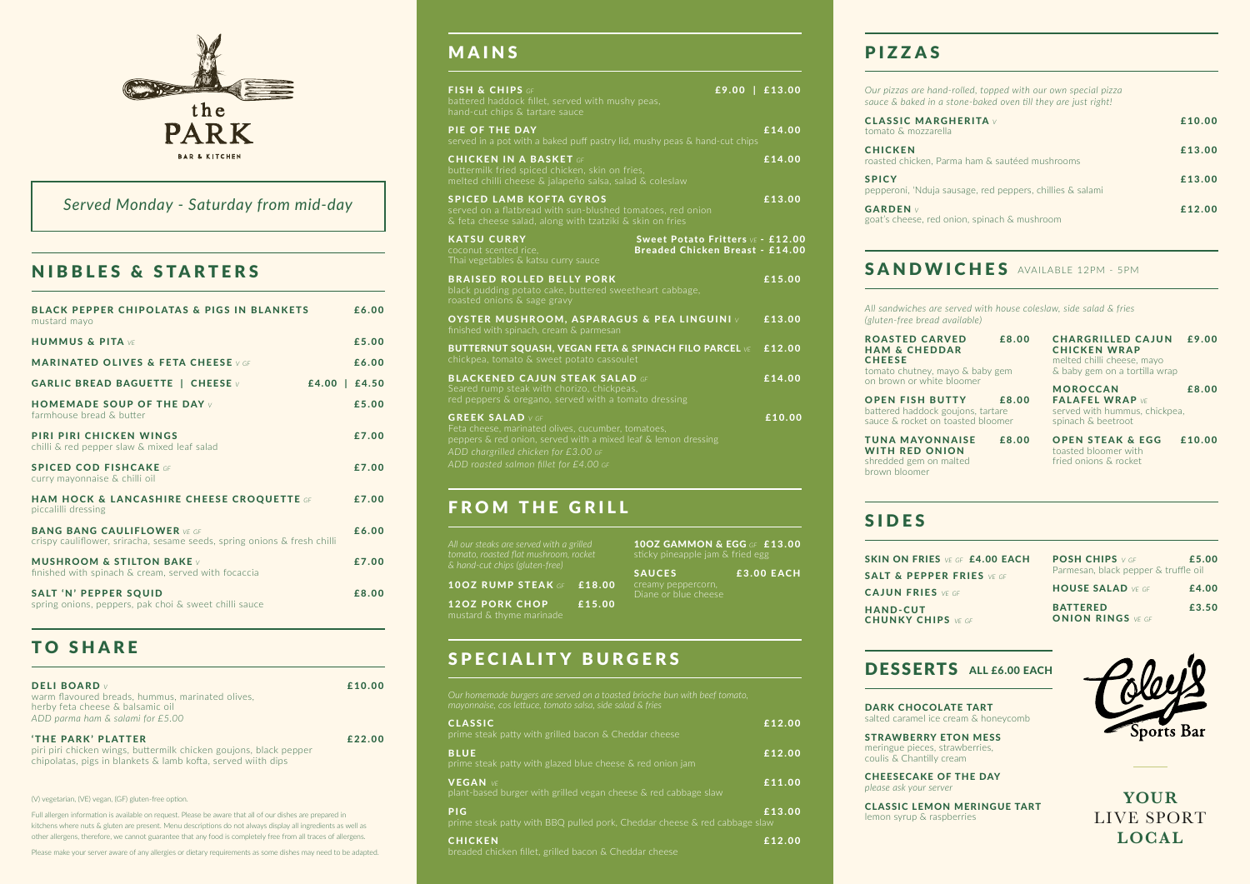(V) vegetarian, (VE) vegan, (GF) gluten-free option.

Full allergen information is available on request. Please be aware that all of our dishes are prepared in kitchens where nuts & gluten are present. Menu descriptions do not always display all ingredients as well as other allergens, therefore, we cannot guarantee that any food is completely free from all traces of allergens.

Please make your server aware of any allergies or dietary requirements as some dishes may need to be adapted.

| <b>BLACK PEPPER CHIPOLATAS &amp; PIGS IN BLANKETS</b><br>mustard mayo                                           | £6.00 |
|-----------------------------------------------------------------------------------------------------------------|-------|
| <b>HUMMUS &amp; PITA VE</b>                                                                                     | £5.00 |
| <b>MARINATED OLIVES &amp; FETA CHEESE V GF</b>                                                                  | £6.00 |
| <b>GARLIC BREAD BAGUETTE   CHEESE V</b><br>$£4.00 \mid £4.50$                                                   |       |
| <b>HOMEMADE SOUP OF THE DAY V</b><br>farmhouse bread & butter                                                   | £5.00 |
| PIRI PIRI CHICKEN WINGS<br>chilli & red pepper slaw & mixed leaf salad                                          | £7.00 |
| <b>SPICED COD FISHCAKE</b> OF<br>curry mayonnaise & chilli oil                                                  | £7.00 |
| <b>HAM HOCK &amp; LANCASHIRE CHEESE CROQUETTE GF</b><br>piccalilli dressing                                     | £7.00 |
| <b>BANG BANG CAULIFLOWER VE GET</b><br>crispy cauliflower, sriracha, sesame seeds, spring onions & fresh chilli | £6.00 |
| <b>MUSHROOM &amp; STILTON BAKE</b> v<br>finished with spinach & cream, served with focaccia                     | £7.00 |
| <b>SALT 'N' PEPPER SQUID</b><br>spring onions, peppers, pak choi & sweet chilli sauce                           | £8.00 |

**YOUR** LIVE SPORT **LOCAL**

| <b>CLASSIC</b><br>prime steak patty with grilled bacon & Cheddar cheese                               | £12.00 |
|-------------------------------------------------------------------------------------------------------|--------|
| <b>BLUE</b><br>prime steak patty with glazed blue cheese & red onion jam                              | £12.00 |
| <b>VEGAN VE</b><br>plant-based burger with grilled vegan cheese & red cabbage slaw                    | £11.00 |
| <b>PIG</b><br>prime steak patty with BBQ pulled pork, Cheddar cheese $\overline{\&}$ red cabbage slaw | £13.00 |
| <b>CHICKEN</b><br>breaded chicken fillet, grilled bacon & Cheddar cheese                              | £12.00 |

*Our pizzas are hand-rolled, topped with our own special pizza sauce & baked in a* 

**CLASSIC MARG** tomato & mozzarel

**CHICKEN** roasted chicken, Pa

pepperoni, 'Nduja s

**GARDEN**  $\vee$ goat's cheese, red

### NIBBLES & STARTERS

| <b>DELI BOARD</b><br>warm flavoured breads, hummus, marinated olives,<br>herby feta cheese & balsamic oil<br>ADD parma ham & salami for £5.00 | £10.00 |
|-----------------------------------------------------------------------------------------------------------------------------------------------|--------|
| 'THE PARK' PLATTER                                                                                                                            | £22.00 |

ROASTED CARVED £8.00 HAM & CHEDDAR **CHEESE** tomato chutney, mayo & baby gem on brown or white bloomer

piri piri chicken wings, buttermilk chicken goujons, black pepper chipolatas, pigs in blankets & lamb kofta, served wiith dips

## TO SHARE

OPEN STEAK & EGG £10.00 toasted bloomer with fried onions & rocket

POSH CHIPS *V GF* £5.00 Parmesan, black pepper & truffle oil

BATTERED £3.50 ONION RINGS *VE GF*



## MAINS

| Our pizzas are hand-rolled, topped with our own special pizza<br>sauce & baked in a stone-baked oven till they are just right! |        |
|--------------------------------------------------------------------------------------------------------------------------------|--------|
| <b>CLASSIC MARGHERITA</b> v<br>tomato & mozzarella                                                                             | £10.00 |
| <b>CHICKEN</b><br>roasted chicken, Parma ham & sautéed mushrooms                                                               | £13.00 |
| <b>SPICY</b><br>pepperoni, 'Nduja sausage, red peppers, chillies & salami                                                      | £13.00 |
| <b>GARDEN</b> v<br>goat's cheese, red onion, spinach & mushroom                                                                | £12.00 |
|                                                                                                                                |        |

# SANDWICHES AVAILABLE 12PM - 5PM

| FISH & CHIPS GF<br>battered haddock fillet, served with mushy peas,<br>hand-cut chips & tartare sauce                                                                                                                             | $£9.00 \mid £13.00$                                                                |        |
|-----------------------------------------------------------------------------------------------------------------------------------------------------------------------------------------------------------------------------------|------------------------------------------------------------------------------------|--------|
| PIE OF THE DAY<br>served in a pot with a baked puff pastry lid, mushy peas & hand-cut chips                                                                                                                                       |                                                                                    | £14.00 |
| <b>CHICKEN IN A BASKET GF</b><br>buttermilk fried spiced chicken, skin on fries,<br>melted chilli cheese & jalapeño salsa, salad & coleslaw                                                                                       |                                                                                    | £14.00 |
| <b>SPICED LAMB KOFTA GYROS</b><br>served on a flatbread with sun-blushed tomatoes, red onion<br>& feta cheese salad, along with tzatziki & skin on fries                                                                          |                                                                                    | £13.00 |
| <b>KATSU CURRY</b><br>coconut scented rice,<br>Thai vegetables & katsu curry sauce                                                                                                                                                | <b>Sweet Potato Fritters VE - £12.00</b><br><b>Breaded Chicken Breast - £14.00</b> |        |
| <b>BRAISED ROLLED BELLY PORK</b><br>black pudding potato cake, buttered sweetheart cabbage,<br>roasted onions & sage gravy                                                                                                        |                                                                                    | £15.00 |
| <b>OYSTER MUSHROOM, ASPARAGUS &amp; PEA LINGUINI</b> v<br>finished with spinach, cream & parmesan                                                                                                                                 |                                                                                    | £13.00 |
| BUTTERNUT SQUASH, VEGAN FETA & SPINACH FILO PARCEL VE £12.00<br>chickpea, tomato & sweet potato cassoulet                                                                                                                         |                                                                                    |        |
| <b>BLACKENED CAJUN STEAK SALAD GF</b><br>Seared rump steak with chorizo, chickpeas,<br>red peppers & oregano, served with a tomato dressing                                                                                       |                                                                                    | £14.00 |
| <b>GREEK SALAD</b> V GF<br>Feta cheese, marinated olives, cucumber, tomatoes,<br>peppers & red onion, served with a mixed leaf & lemon dressing<br>ADD chargrilled chicken for £3.00 GF<br>ADD roasted salmon fillet for £4.00 GF |                                                                                    | £10.00 |
| <b>FROM THE GRILL</b>                                                                                                                                                                                                             |                                                                                    |        |

# PIZZAS

OPEN FISH BUTTY £8.00 battered haddock goujons, tartare sauce & rocket on toasted bloomer

TUNA MAYONNAISE £8.00 WITH RED ONION shredded gem on malted brown bloomer

CHARGRILLED CAJUN £9.00 CHICKEN WRAP melted chilli cheese, mayo & baby gem on a tortilla wrap

MOROCCAN £8.00 FALAFEL WRAP *VE* served with hummus, chickpea, spinach & beetroot

SKIN ON FRIES *VE GF* £4.00 EACH SALT & PEPPER FRIES *VE GF* CAJUN FRIES *VE GF* HAND-CUT CHUNKY CHIPS *VE GF*

### DESSERTS ALL £6.00 EACH

HOUSE SALAD *VE GF* £4.00

## SIDES

DARK CHOCOLATE TART salted caramel ice cream & honeycomb

STRAWBERRY ETON MESS meringue pieces, strawberries, coulis & Chantilly cream

CHEESECAKE OF THE DAY *please ask your server*

CLASSIC LEMON MERINGUE TART lemon syrup & raspberries

*mayonnaise, cos lettuce, tomato salsa, side salad & fries*

mustard & thyme marinade

10OZ GAMMON & EGG *GF* £13.00

12OZ PORK CHOP £15.00 SAUCES £3.00 EACH Diane or blue cheese

*& hand-cut chips (gluten-free)* 10OZ RUMP STEAK *GF* £ 18.00

### SPECIALITY BURGERS



### *Served Monday - Saturday from mid-day*

*All sandwiches are served with house coleslaw, side salad & fries (gluten-free bread available)*